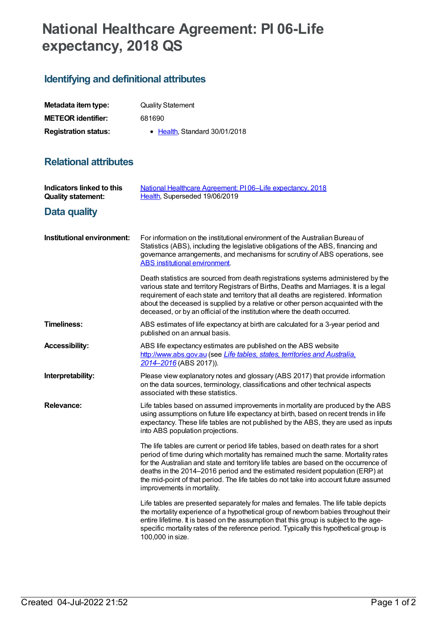## **National Healthcare Agreement: PI 06-Life expectancy, 2018 QS**

## **Identifying and definitional attributes**

| Metadata item type:         | <b>Quality Statement</b>      |
|-----------------------------|-------------------------------|
| <b>METEOR identifier:</b>   | 681690                        |
| <b>Registration status:</b> | • Health, Standard 30/01/2018 |

## **Relational attributes**

| <b>Indicators linked to this</b><br><b>Quality statement:</b> | National Healthcare Agreement: PI06-Life expectancy, 2018<br>Health, Superseded 19/06/2019                                                                                                                                                                                                                                                                                                                                                                                |
|---------------------------------------------------------------|---------------------------------------------------------------------------------------------------------------------------------------------------------------------------------------------------------------------------------------------------------------------------------------------------------------------------------------------------------------------------------------------------------------------------------------------------------------------------|
| <b>Data quality</b>                                           |                                                                                                                                                                                                                                                                                                                                                                                                                                                                           |
| Institutional environment:                                    | For information on the institutional environment of the Australian Bureau of<br>Statistics (ABS), including the legislative obligations of the ABS, financing and<br>governance arrangements, and mechanisms for scrutiny of ABS operations, see<br><b>ABS</b> institutional environment.                                                                                                                                                                                 |
|                                                               | Death statistics are sourced from death registrations systems administered by the<br>various state and territory Registrars of Births, Deaths and Marriages. It is a legal<br>requirement of each state and territory that all deaths are registered. Information<br>about the deceased is supplied by a relative or other person acquainted with the<br>deceased, or by an official of the institution where the death occurred.                                         |
| <b>Timeliness:</b>                                            | ABS estimates of life expectancy at birth are calculated for a 3-year period and<br>published on an annual basis.                                                                                                                                                                                                                                                                                                                                                         |
| <b>Accessibility:</b>                                         | ABS life expectancy estimates are published on the ABS website<br>http://www.abs.gov.au (see Life tables, states, territories and Australia.<br>2014–2016 (ABS 2017)).                                                                                                                                                                                                                                                                                                    |
| Interpretability:                                             | Please view explanatory notes and glossary (ABS 2017) that provide information<br>on the data sources, terminology, classifications and other technical aspects<br>associated with these statistics.                                                                                                                                                                                                                                                                      |
| <b>Relevance:</b>                                             | Life tables based on assumed improvements in mortality are produced by the ABS<br>using assumptions on future life expectancy at birth, based on recent trends in life<br>expectancy. These life tables are not published by the ABS, they are used as inputs<br>into ABS population projections.                                                                                                                                                                         |
|                                                               | The life tables are current or period life tables, based on death rates for a short<br>period of time during which mortality has remained much the same. Mortality rates<br>for the Australian and state and territory life tables are based on the occurrence of<br>deaths in the 2014–2016 period and the estimated resident population (ERP) at<br>the mid-point of that period. The life tables do not take into account future assumed<br>improvements in mortality. |
|                                                               | Life tables are presented separately for males and females. The life table depicts<br>the mortality experience of a hypothetical group of newborn babies throughout their<br>entire lifetime. It is based on the assumption that this group is subject to the age-<br>specific mortality rates of the reference period. Typically this hypothetical group is<br>100,000 in size.                                                                                          |